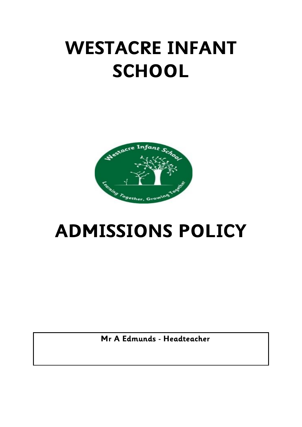## **WESTACRE INFANT SCHOOL**



## **ADMISSIONS POLICY**

 **Mr A Edmunds - Headteacher**